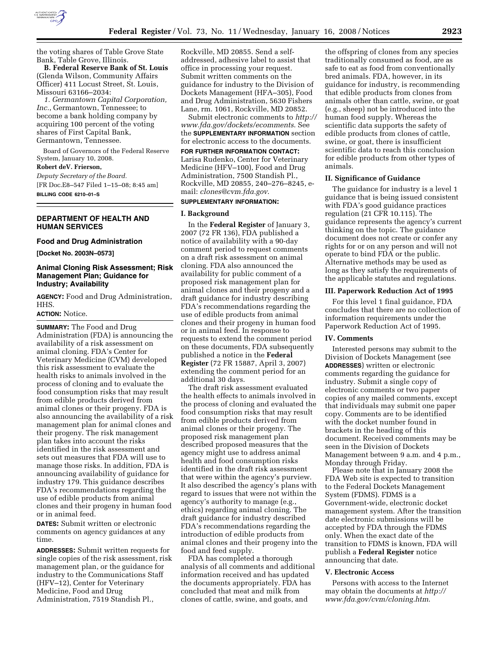

the voting shares of Table Grove State Bank, Table Grove, Illinois.

**B. Federal Reserve Bank of St. Louis**  (Glenda Wilson, Community Affairs Officer) 411 Locust Street, St. Louis, Missouri 63166–2034:

*1. Germantown Capital Corporation, Inc.*, Germantown, Tennessee; to become a bank holding company by acquiring 100 percent of the voting shares of First Capital Bank, Germantown, Tennessee.

Board of Governors of the Federal Reserve System, January 10, 2008.

# **Robert deV. Frierson,**

*Deputy Secretary of the Board.*  [FR Doc.E8–547 Filed 1–15–08; 8:45 am] **BILLING CODE 6210–01–S** 

### **DEPARTMENT OF HEALTH AND HUMAN SERVICES**

#### **Food and Drug Administration**

**[Docket No. 2003N–0573]** 

### **Animal Cloning Risk Assessment; Risk Management Plan; Guidance for Industry; Availability**

**AGENCY:** Food and Drug Administration, HHS.

#### **ACTION:** Notice.

**SUMMARY:** The Food and Drug Administration (FDA) is announcing the availability of a risk assessment on animal cloning. FDA's Center for Veterinary Medicine (CVM) developed this risk assessment to evaluate the health risks to animals involved in the process of cloning and to evaluate the food consumption risks that may result from edible products derived from animal clones or their progeny. FDA is also announcing the availability of a risk management plan for animal clones and their progeny. The risk management plan takes into account the risks identified in the risk assessment and sets out measures that FDA will use to manage those risks. In addition, FDA is announcing availability of guidance for industry 179. This guidance describes FDA's recommendations regarding the use of edible products from animal clones and their progeny in human food or in animal feed.

**DATES:** Submit written or electronic comments on agency guidances at any time.

**ADDRESSES:** Submit written requests for single copies of the risk assessment, risk management plan, or the guidance for industry to the Communications Staff (HFV–12), Center for Veterinary Medicine, Food and Drug Administration, 7519 Standish Pl.,

Rockville, MD 20855. Send a selfaddressed, adhesive label to assist that office in processing your request. Submit written comments on the guidance for industry to the Division of Dockets Management (HFA–305), Food and Drug Administration, 5630 Fishers Lane, rm. 1061, Rockville, MD 20852.

Submit electronic comments to *http:// www.fda.gov/dockets/ecomments*. See the **SUPPLEMENTARY INFORMATION** section for electronic access to the documents.

**FOR FURTHER INFORMATION CONTACT:**  Larisa Rudenko, Center for Veterinary Medicine (HFV–100), Food and Drug Administration, 7500 Standish Pl., Rockville, MD 20855, 240–276–8245, email: *clones@cvm.fda.gov*.

## **SUPPLEMENTARY INFORMATION:**

# **I. Background**

In the **Federal Register** of January 3, 2007 (72 FR 136), FDA published a notice of availability with a 90-day comment period to request comments on a draft risk assessment on animal cloning. FDA also announced the availability for public comment of a proposed risk management plan for animal clones and their progeny and a draft guidance for industry describing FDA's recommendations regarding the use of edible products from animal clones and their progeny in human food or in animal feed. In response to requests to extend the comment period on these documents, FDA subsequently published a notice in the **Federal Register** (72 FR 15887, April 3, 2007) extending the comment period for an additional 30 days.

The draft risk assessment evaluated the health effects to animals involved in the process of cloning and evaluated the food consumption risks that may result from edible products derived from animal clones or their progeny. The proposed risk management plan described proposed measures that the agency might use to address animal health and food consumption risks identified in the draft risk assessment that were within the agency's purview. It also described the agency's plans with regard to issues that were not within the agency's authority to manage (e.g., ethics) regarding animal cloning. The draft guidance for industry described FDA's recommendations regarding the introduction of edible products from animal clones and their progeny into the food and feed supply.

FDA has completed a thorough analysis of all comments and additional information received and has updated the documents appropriately. FDA has concluded that meat and milk from clones of cattle, swine, and goats, and

the offspring of clones from any species traditionally consumed as food, are as safe to eat as food from conventionally bred animals. FDA, however, in its guidance for industry, is recommending that edible products from clones from animals other than cattle, swine, or goat (e.g., sheep) not be introduced into the human food supply. Whereas the scientific data supports the safety of edible products from clones of cattle, swine, or goat, there is insufficient scientific data to reach this conclusion for edible products from other types of animals.

### **II. Significance of Guidance**

The guidance for industry is a level 1 guidance that is being issued consistent with FDA's good guidance practices regulation (21 CFR 10.115). The guidance represents the agency's current thinking on the topic. The guidance document does not create or confer any rights for or on any person and will not operate to bind FDA or the public. Alternative methods may be used as long as they satisfy the requirements of the applicable statutes and regulations.

#### **III. Paperwork Reduction Act of 1995**

For this level 1 final guidance, FDA concludes that there are no collection of information requirements under the Paperwork Reduction Act of 1995.

#### **IV. Comments**

Interested persons may submit to the Division of Dockets Management (see **ADDRESSES**) written or electronic comments regarding the guidance for industry. Submit a single copy of electronic comments or two paper copies of any mailed comments, except that individuals may submit one paper copy. Comments are to be identified with the docket number found in brackets in the heading of this document. Received comments may be seen in the Division of Dockets Management between 9 a.m. and 4 p.m., Monday through Friday.

Please note that in January 2008 the FDA Web site is expected to transition to the Federal Dockets Management System (FDMS). FDMS is a Government-wide, electronic docket management system. After the transition date electronic submissions will be accepted by FDA through the FDMS only. When the exact date of the transition to FDMS is known, FDA will publish a **Federal Register** notice announcing that date.

### **V. Electronic Access**

Persons with access to the Internet may obtain the documents at *http:// www.fda.gov/cvm/cloning.htm*.